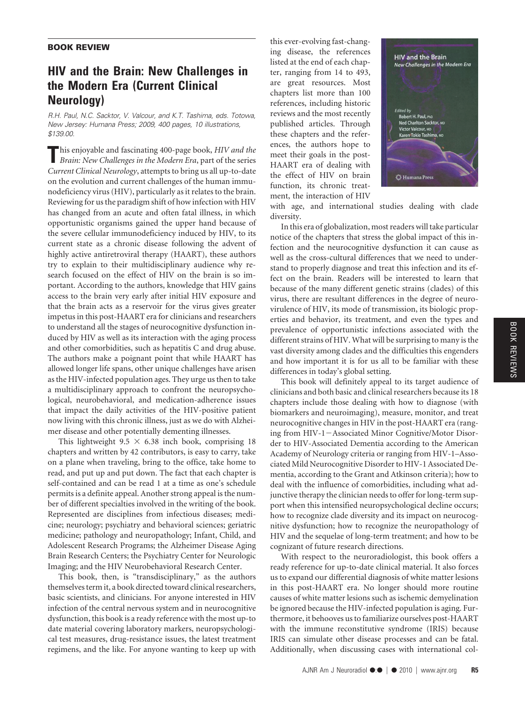## **BOOK REVIEW**

## **HIV and the Brain: New Challenges in the Modern Era (Current Clinical Neurology)**

*R.H. Paul, N.C. Sacktor, V. Valcour, and K.T. Tashima, eds. Totowa, New Jersey: Humana Press; 2009, 400 pages, 10 illustrations, \$139.00.*

**T**his enjoyable and fascinating 400-page book, *HIV and the Brain: New Challenges in the Modern Era*, part of the series *Current Clinical Neurology*, attempts to bring us all up-to-date on the evolution and current challenges of the human immunodeficiency virus (HIV), particularly as it relates to the brain. Reviewing for us the paradigm shift of how infection with HIV has changed from an acute and often fatal illness, in which opportunistic organisms gained the upper hand because of the severe cellular immunodeficiency induced by HIV, to its current state as a chronic disease following the advent of highly active antiretroviral therapy (HAART), these authors try to explain to their multidisciplinary audience why research focused on the effect of HIV on the brain is so important. According to the authors, knowledge that HIV gains access to the brain very early after initial HIV exposure and that the brain acts as a reservoir for the virus gives greater impetus in this post-HAART era for clinicians and researchers to understand all the stages of neurocognitive dysfunction induced by HIV as well as its interaction with the aging process and other comorbidities, such as hepatitis C and drug abuse. The authors make a poignant point that while HAART has allowed longer life spans, other unique challenges have arisen as the HIV-infected population ages. They urge us then to take a multidisciplinary approach to confront the neuropsychological, neurobehavioral, and medication-adherence issues that impact the daily activities of the HIV-positive patient now living with this chronic illness, just as we do with Alzheimer disease and other potentially dementing illnesses.

This lightweight  $9.5 \times 6.38$  inch book, comprising 18 chapters and written by 42 contributors, is easy to carry, take on a plane when traveling, bring to the office, take home to read, and put up and put down. The fact that each chapter is self-contained and can be read 1 at a time as one's schedule permits is a definite appeal. Another strong appeal is the number of different specialties involved in the writing of the book. Represented are disciplines from infectious diseases; medicine; neurology; psychiatry and behavioral sciences; geriatric medicine; pathology and neuropathology; Infant, Child, and Adolescent Research Programs; the Alzheimer Disease Aging Brain Research Centers; the Psychiatry Center for Neurologic Imaging; and the HIV Neurobehavioral Research Center.

This book, then, is "transdisciplinary," as the authors themselves term it, a book directed toward clinical researchers, basic scientists, and clinicians. For anyone interested in HIV infection of the central nervous system and in neurocognitive dysfunction, this book is a ready reference with the most up-to date material covering laboratory markers, neuropsychological test measures, drug-resistance issues, the latest treatment regimens, and the like. For anyone wanting to keep up with

this ever-evolving fast-changing disease, the references listed at the end of each chapter, ranging from 14 to 493, are great resources. Most chapters list more than 100 references, including historic reviews and the most recently published articles. Through these chapters and the references, the authors hope to meet their goals in the post-HAART era of dealing with the effect of HIV on brain function, its chronic treatment, the interaction of HIV



with age, and international studies dealing with clade diversity.

In this era of globalization, most readers will take particular notice of the chapters that stress the global impact of this infection and the neurocognitive dysfunction it can cause as well as the cross-cultural differences that we need to understand to properly diagnose and treat this infection and its effect on the brain. Readers will be interested to learn that because of the many different genetic strains (clades) of this virus, there are resultant differences in the degree of neurovirulence of HIV, its mode of transmission, its biologic properties and behavior, its treatment, and even the types and prevalence of opportunistic infections associated with the different strains of HIV. What will be surprising to many is the vast diversity among clades and the difficulties this engenders and how important it is for us all to be familiar with these differences in today's global setting.

This book will definitely appeal to its target audience of clinicians and both basic and clinical researchers because its 18 chapters include those dealing with how to diagnose (with biomarkers and neuroimaging), measure, monitor, and treat neurocognitive changes in HIV in the post-HAART era (ranging from HIV-1-Associated Minor Cognitive/Motor Disorder to HIV-Associated Dementia according to the American Academy of Neurology criteria or ranging from HIV-1–Associated Mild Neurocognitive Disorder to HIV-1 Associated Dementia, according to the Grant and Atkinson criteria); how to deal with the influence of comorbidities, including what adjunctive therapy the clinician needs to offer for long-term support when this intensified neuropsychological decline occurs; how to recognize clade diversity and its impact on neurocognitive dysfunction; how to recognize the neuropathology of HIV and the sequelae of long-term treatment; and how to be cognizant of future research directions.

With respect to the neuroradiologist, this book offers a ready reference for up-to-date clinical material. It also forces us to expand our differential diagnosis of white matter lesions in this post-HAART era. No longer should more routine causes of white matter lesions such as ischemic demyelination be ignored because the HIV-infected population is aging. Furthermore, it behooves us to familiarize ourselves post-HAART with the immune reconstitutive syndrome (IRIS) because IRIS can simulate other disease processes and can be fatal. Additionally, when discussing cases with international colBOOK